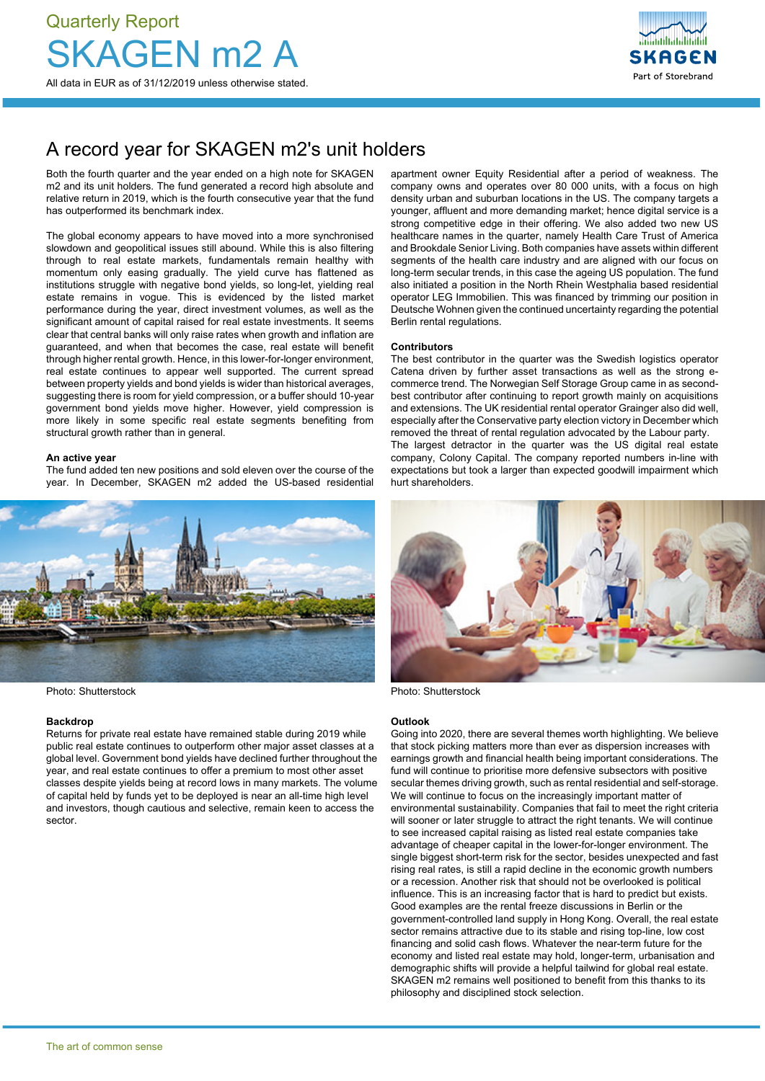

# A record year for SKAGEN m2's unit holders

Both the fourth quarter and the year ended on a high note for SKAGEN m2 and its unit holders. The fund generated a record high absolute and relative return in 2019, which is the fourth consecutive year that the fund has outperformed its benchmark index.

The global economy appears to have moved into a more synchronised slowdown and geopolitical issues still abound. While this is also filtering through to real estate markets, fundamentals remain healthy with momentum only easing gradually. The yield curve has flattened as institutions struggle with negative bond yields, so long-let, yielding real estate remains in vogue. This is evidenced by the listed market performance during the year, direct investment volumes, as well as the significant amount of capital raised for real estate investments. It seems clear that central banks will only raise rates when growth and inflation are guaranteed, and when that becomes the case, real estate will benefit through higher rental growth. Hence, in this lower-for-longer environment, real estate continues to appear well supported. The current spread between property yields and bond yields is wider than historical averages, suggesting there is room for yield compression, or a buffer should 10-year government bond yields move higher. However, yield compression is more likely in some specific real estate segments benefiting from structural growth rather than in general.

#### **An active year**

The fund added ten new positions and sold eleven over the course of the year. In December, SKAGEN m2 added the US-based residential



Photo: Shutterstock **Photo: Shutterstock** Photo: Shutterstock

#### **Backdrop**

Returns for private real estate have remained stable during 2019 while public real estate continues to outperform other major asset classes at a global level. Government bond yields have declined further throughout the year, and real estate continues to offer a premium to most other asset classes despite yields being at record lows in many markets. The volume of capital held by funds yet to be deployed is near an all-time high level and investors, though cautious and selective, remain keen to access the sector.

apartment owner Equity Residential after a period of weakness. The company owns and operates over 80 000 units, with a focus on high density urban and suburban locations in the US. The company targets a younger, affluent and more demanding market; hence digital service is a strong competitive edge in their offering. We also added two new US healthcare names in the quarter, namely Health Care Trust of America and Brookdale Senior Living. Both companies have assets within different segments of the health care industry and are aligned with our focus on long-term secular trends, in this case the ageing US population. The fund also initiated a position in the North Rhein Westphalia based residential operator LEG Immobilien. This was financed by trimming our position in Deutsche Wohnen given the continued uncertainty regarding the potential Berlin rental regulations.

#### **Contributors**

The best contributor in the quarter was the Swedish logistics operator Catena driven by further asset transactions as well as the strong ecommerce trend. The Norwegian Self Storage Group came in as secondbest contributor after continuing to report growth mainly on acquisitions and extensions. The UK residential rental operator Grainger also did well, especially after the Conservative party election victory in December which removed the threat of rental regulation advocated by the Labour party. The largest detractor in the quarter was the US digital real estate company, Colony Capital. The company reported numbers in-line with expectations but took a larger than expected goodwill impairment which hurt shareholders.



### **Outlook**

Going into 2020, there are several themes worth highlighting. We believe that stock picking matters more than ever as dispersion increases with earnings growth and financial health being important considerations. The fund will continue to prioritise more defensive subsectors with positive secular themes driving growth, such as rental residential and self-storage. We will continue to focus on the increasingly important matter of environmental sustainability. Companies that fail to meet the right criteria will sooner or later struggle to attract the right tenants. We will continue to see increased capital raising as listed real estate companies take advantage of cheaper capital in the lower-for-longer environment. The single biggest short-term risk for the sector, besides unexpected and fast rising real rates, is still a rapid decline in the economic growth numbers or a recession. Another risk that should not be overlooked is political influence. This is an increasing factor that is hard to predict but exists. Good examples are the rental freeze discussions in Berlin or the government-controlled land supply in Hong Kong. Overall, the real estate sector remains attractive due to its stable and rising top-line, low cost financing and solid cash flows. Whatever the near-term future for the economy and listed real estate may hold, longer-term, urbanisation and demographic shifts will provide a helpful tailwind for global real estate. SKAGEN m2 remains well positioned to benefit from this thanks to its philosophy and disciplined stock selection.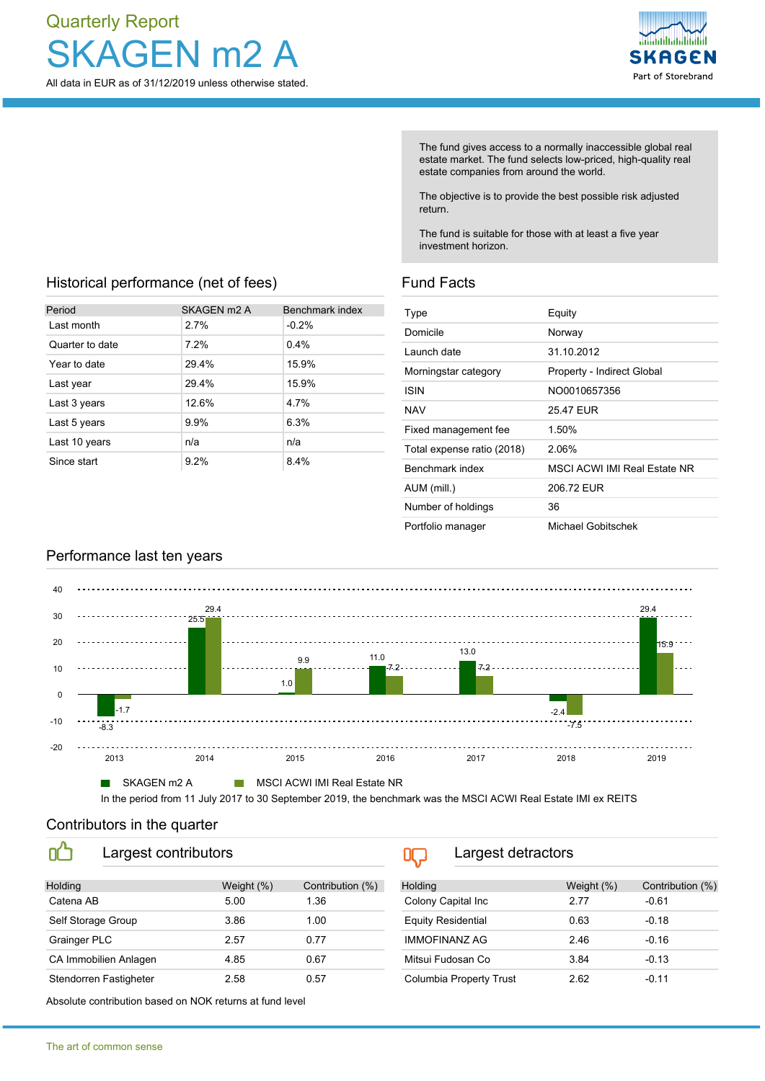# Quarterly Report GFN m<sub>2</sub> A All data in EUR as of 31/12/2019 unless otherwise stated.

Historical performance (net of fees)

Last month 2.7% -0.2% Quarter to date 7.2% 0.4% Year to date 29.4% 15.9% Last year 29.4% 15.9% Last 3 years 12.6% 4.7% Last 5 years 9.9% 6.3% Last 10 years **n/a** n/a n/a Since start 9.2% 8.4%

Period SKAGEN m2 A Benchmark index



The fund gives access to a normally inaccessible global real estate market. The fund selects low-priced, high-quality real estate companies from around the world.

The objective is to provide the best possible risk adjusted return.

The fund is suitable for those with at least a five year investment horizon.

## Fund Facts

| Type                       | Equity                              |
|----------------------------|-------------------------------------|
| Domicile                   | Norway                              |
| Launch date                | 31.10.2012                          |
| Morningstar category       | Property - Indirect Global          |
| ISIN                       | NO0010657356                        |
| <b>NAV</b>                 | 2547 FUR                            |
| Fixed management fee       | 1.50%                               |
| Total expense ratio (2018) | 2.06%                               |
| Benchmark index            | <b>MSCI ACWI IMI Real Estate NR</b> |
| AUM (mill.)                | 206.72 EUR                          |
| Number of holdings         | 36                                  |
| Portfolio manager          | Michael Gobitschek                  |

# Performance last ten years



In the period from 11 July 2017 to 30 September 2019, the benchmark was the MSCI ACWI Real Estate IMI ex REITS

### Contributors in the quarter

m

| __                 | ____________________   |            |                  |  |
|--------------------|------------------------|------------|------------------|--|
|                    |                        |            |                  |  |
| Holding            |                        | Weight (%) | Contribution (%) |  |
| Catena AB          |                        | 5.00       | 1.36             |  |
| Self Storage Group |                        | 3.86       | 1.00             |  |
| Grainger PLC       |                        | 2.57       | 0.77             |  |
|                    | CA Immobilien Anlagen  | 4.85       | 0.67             |  |
|                    | Stendorren Fastigheter | 2.58       | 0.57             |  |

Largest detractors  $0 \square$ 

| <b>Holding</b>            | Weight (%) | Contribution (%) |
|---------------------------|------------|------------------|
| Colony Capital Inc        | 2 77       | $-0.61$          |
| <b>Equity Residential</b> | 0.63       | $-0.18$          |
| <b>IMMOFINANZ AG</b>      | 246        | $-0.16$          |
| Mitsui Fudosan Co         | 3.84       | $-0.13$          |
| Columbia Property Trust   | 2.62       | $-0.11$          |

Absolute contribution based on NOK returns at fund level

Largest contributors